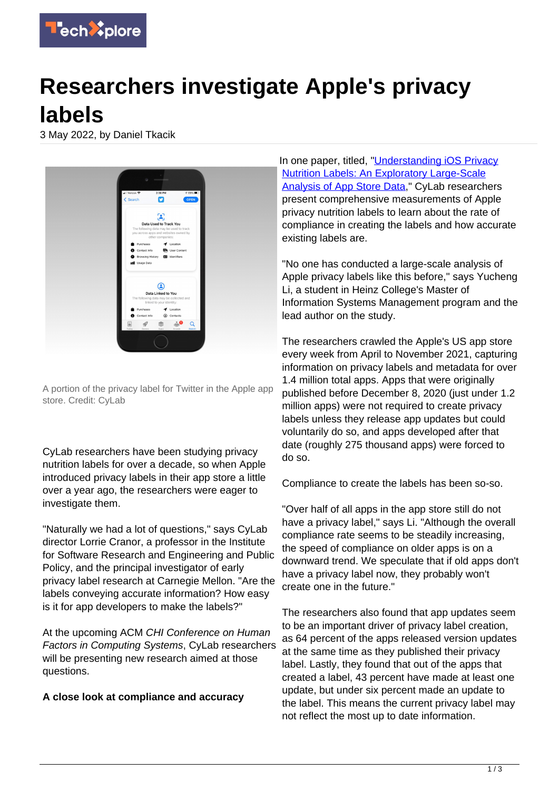

## **Researchers investigate Apple's privacy labels**

3 May 2022, by Daniel Tkacik



A portion of the privacy label for Twitter in the Apple app store. Credit: CyLab

CyLab researchers have been studying privacy nutrition labels for over a decade, so when Apple introduced privacy labels in their app store a little over a year ago, the researchers were eager to investigate them.

"Naturally we had a lot of questions," says CyLab director Lorrie Cranor, a professor in the Institute for Software Research and Engineering and Public Policy, and the principal investigator of early privacy label research at Carnegie Mellon. "Are the labels conveying accurate information? How easy is it for app developers to make the labels?"

At the upcoming ACM CHI Conference on Human Factors in Computing Systems, CyLab researchers will be presenting new research aimed at those questions.

## **A close look at compliance and accuracy**

In one paper, titled, "[Understanding iOS Privacy](https://programs.sigchi.org/chi/2022/program/content/73239) [Nutrition Labels: An Exploratory Large-Scale](https://programs.sigchi.org/chi/2022/program/content/73239) [Analysis of App Store Data,](https://programs.sigchi.org/chi/2022/program/content/73239)" CyLab researchers present comprehensive measurements of Apple privacy nutrition labels to learn about the rate of compliance in creating the labels and how accurate existing labels are.

"No one has conducted a large-scale analysis of Apple privacy labels like this before," says Yucheng Li, a student in Heinz College's Master of Information Systems Management program and the lead author on the study.

The researchers crawled the Apple's US app store every week from April to November 2021, capturing information on privacy labels and metadata for over 1.4 million total apps. Apps that were originally published before December 8, 2020 (just under 1.2 million apps) were not required to create privacy labels unless they release app updates but could voluntarily do so, and apps developed after that date (roughly 275 thousand apps) were forced to do so.

Compliance to create the labels has been so-so.

"Over half of all apps in the app store still do not have a privacy label," says Li. "Although the overall compliance rate seems to be steadily increasing, the speed of compliance on older apps is on a downward trend. We speculate that if old apps don't have a privacy label now, they probably won't create one in the future."

The researchers also found that app updates seem to be an important driver of privacy label creation, as 64 percent of the apps released version updates at the same time as they published their privacy label. Lastly, they found that out of the apps that created a label, 43 percent have made at least one update, but under six percent made an update to the label. This means the current privacy label may not reflect the most up to date information.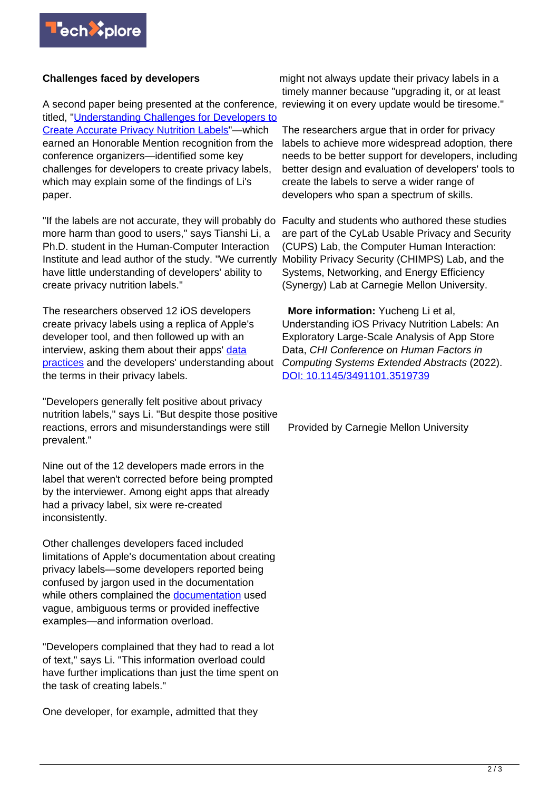## **Challenges faced by developers**

A second paper being presented at the conference, reviewing it on every update would be tiresome." titled, "[Understanding Challenges for Developers to](https://programs.sigchi.org/chi/2022/program/content/68782) [Create Accurate Privacy Nutrition Labels](https://programs.sigchi.org/chi/2022/program/content/68782)"—which earned an Honorable Mention recognition from the conference organizers—identified some key challenges for developers to create privacy labels, which may explain some of the findings of Li's paper.

"If the labels are not accurate, they will probably do Faculty and students who authored these studies more harm than good to users," says Tianshi Li, a Ph.D. student in the Human-Computer Interaction Institute and lead author of the study. "We currently Mobility Privacy Security (CHIMPS) Lab, and the have little understanding of developers' ability to create privacy nutrition labels."

The researchers observed 12 iOS developers create privacy labels using a replica of Apple's developer tool, and then followed up with an interview, asking them about their apps' [data](https://techxplore.com/tags/data+practices/) [practices](https://techxplore.com/tags/data+practices/) and the developers' understanding about the terms in their privacy labels.

"Developers generally felt positive about privacy nutrition labels," says Li. "But despite those positive reactions, errors and misunderstandings were still prevalent."

Nine out of the 12 developers made errors in the label that weren't corrected before being prompted by the interviewer. Among eight apps that already had a privacy label, six were re-created inconsistently.

Other challenges developers faced included limitations of Apple's documentation about creating privacy labels—some developers reported being confused by jargon used in the documentation while others complained the [documentation](https://techxplore.com/tags/documentation/) used vague, ambiguous terms or provided ineffective examples—and information overload.

"Developers complained that they had to read a lot of text," says Li. "This information overload could have further implications than just the time spent on the task of creating labels."

One developer, for example, admitted that they

might not always update their privacy labels in a timely manner because "upgrading it, or at least

The researchers argue that in order for privacy labels to achieve more widespread adoption, there needs to be better support for developers, including better design and evaluation of developers' tools to create the labels to serve a wider range of developers who span a spectrum of skills.

are part of the CyLab Usable Privacy and Security (CUPS) Lab, the Computer Human Interaction: Systems, Networking, and Energy Efficiency (Synergy) Lab at Carnegie Mellon University.

 **More information:** Yucheng Li et al, Understanding iOS Privacy Nutrition Labels: An Exploratory Large-Scale Analysis of App Store Data, CHI Conference on Human Factors in Computing Systems Extended Abstracts (2022). [DOI: 10.1145/3491101.3519739](https://dx.doi.org/10.1145/3491101.3519739)

Provided by Carnegie Mellon University